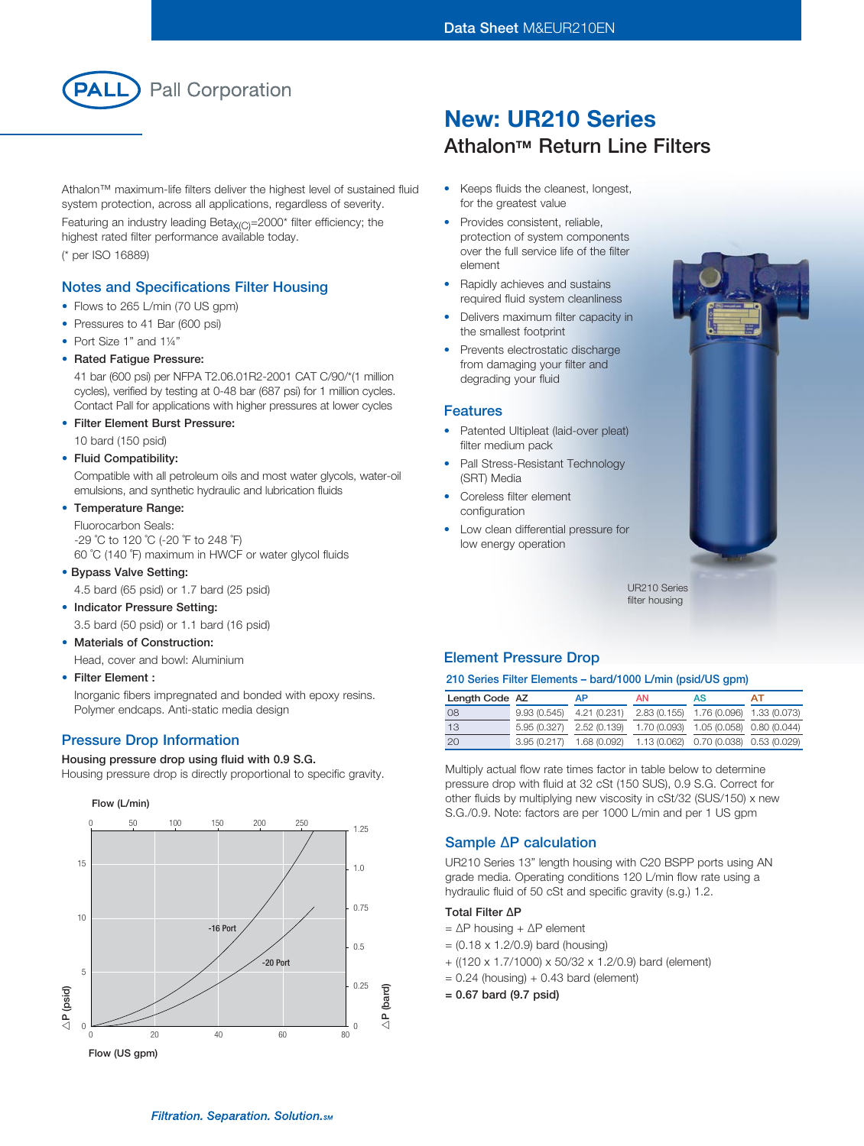

Athalon™ maximum-life filters deliver the highest level of sustained fluid system protection, across all applications, regardless of severity.

Featuring an industry leading Beta $X_{(C)}$ =2000\* filter efficiency; the highest rated filter performance available today. (\* per ISO 16889)

### Notes and Specifications Filter Housing

- Flows to 265 L/min (70 US gpm)
- Pressures to 41 Bar (600 psi)
- Port Size 1" and 1¼"
- Rated Fatigue Pressure:

41 bar (600 psi) per NFPA T2.06.01R2-2001 CAT C/90/\*(1 million cycles), verified by testing at 0-48 bar (687 psi) for 1 million cycles. Contact Pall for applications with higher pressures at lower cycles

• Filter Element Burst Pressure:

10 bard (150 psid)

#### • Fluid Compatibility:

Compatible with all petroleum oils and most water glycols, water-oil emulsions, and synthetic hydraulic and lubrication fluids

• Temperature Range:

Fluorocarbon Seals: -29 ˚C to 120 ˚C (-20 ˚F to 248 ˚F) 60 ˚C (140 ˚F) maximum in HWCF or water glycol fluids

• Bypass Valve Setting:

4.5 bard (65 psid) or 1.7 bard (25 psid)

- Indicator Pressure Setting: 3.5 bard (50 psid) or 1.1 bard (16 psid)
- **Materials of Construction:**

Head, cover and bowl: Aluminium

• Filter Element :

Inorganic fibers impregnated and bonded with epoxy resins. Polymer endcaps. Anti-static media design

#### Pressure Drop Information

Housing pressure drop using fluid with 0.9 S.G.

Housing pressure drop is directly proportional to specific gravity.



# New: UR210 Series **Athalon™ Return Line Filters**

- • Keeps fluids the cleanest, longest, for the greatest value
- Provides consistent, reliable, protection of system components over the full service life of the filter element
- Rapidly achieves and sustains required fluid system cleanliness
- Delivers maximum filter capacity in the smallest footprint
- Prevents electrostatic discharge from damaging your filter and degrading your fluid

#### Features

- Patented Ultipleat (laid-over pleat) filter medium pack
- Pall Stress-Resistant Technology (SRT) Media
- Coreless filter element configuration
- Low clean differential pressure for low energy operation



UR210 Series filter housing

#### Element Pressure Drop

#### 210 Series Filter Elements – bard/1000 L/min (psid/US gpm)

| Length Code AZ | AP                                                               | AN                                     | AS | АT |
|----------------|------------------------------------------------------------------|----------------------------------------|----|----|
| 08             | $9.93(0.545)$ $4.21(0.231)$                                      | 2.83 (0.155) 1.76 (0.096) 1.33 (0.073) |    |    |
| 13             | 5.95 (0.327) 2.52 (0.139) 1.70 (0.093) 1.05 (0.058) 0.80 (0.044) |                                        |    |    |
| 20             | 3.95 (0.217) 1.68 (0.092) 1.13 (0.062) 0.70 (0.038) 0.53 (0.029) |                                        |    |    |

Multiply actual flow rate times factor in table below to determine pressure drop with fluid at 32 cSt (150 SUS), 0.9 S.G. Correct for other fluids by multiplying new viscosity in cSt/32 (SUS/150) x new S.G./0.9. Note: factors are per 1000 L/min and per 1 US gpm

#### Sample ∆P calculation

UR210 Series 13" length housing with C20 BSPP ports using AN grade media. Operating conditions 120 L/min flow rate using a hydraulic fluid of 50 cSt and specific gravity (s.g.) 1.2.

#### Total Filter ∆P

- = ∆P housing + ∆P element
- = (0.18 x 1.2/0.9) bard (housing)
- + ((120 x 1.7/1000) x 50/32 x 1.2/0.9) bard (element)
- $= 0.24$  (housing) + 0.43 bard (element)
- = 0.67 bard (9.7 psid)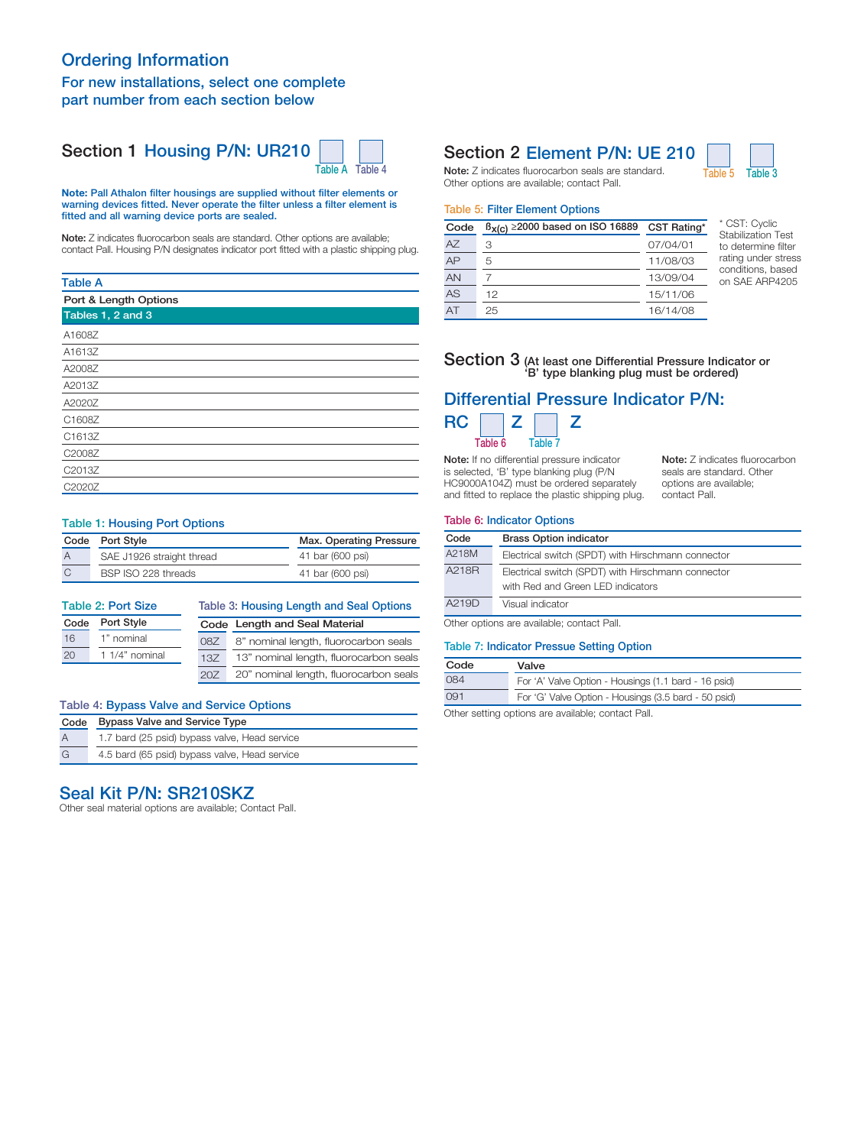## Ordering Information For new installations, select one complete part number from each section below

## Section 1 Housing P/N: UR210



Note: Pall Athalon filter housings are supplied without filter elements or warning devices fitted. Never operate the filter unless a filter element is fitted and all warning device ports are sealed.

Note: Z indicates fluorocarbon seals are standard. Other options are available; contact Pall. Housing P/N designates indicator port fitted with a plastic shipping plug.

#### Table A

| Port & Length Options |  |  |
|-----------------------|--|--|
| Tables 1, 2 and 3     |  |  |
| A1608Z                |  |  |
| A1613Z                |  |  |
| A2008Z                |  |  |
| A2013Z                |  |  |
| A2020Z                |  |  |
| C1608Z                |  |  |
| C1613Z                |  |  |
| C2008Z                |  |  |
| C2013Z                |  |  |
| C2020Z                |  |  |
|                       |  |  |

#### Table 1: Housing Port Options

| Code Port Style           | Max. Operating Pressure |  |
|---------------------------|-------------------------|--|
| SAE J1926 straight thread | 41 bar (600 psi)        |  |
| BSP ISO 228 threads       | 41 bar (600 psi)        |  |

| <b>Table 2: Port Size</b> |                |                               | Table 3: Housing Length and Seal Options |  |  |
|---------------------------|----------------|-------------------------------|------------------------------------------|--|--|
| Code                      | Port Style     | Code Length and Seal Material |                                          |  |  |
| 16                        | 1" nominal     | 087                           | 8" nominal length, fluorocarbon seals    |  |  |
| 20                        | 1 1/4" nominal | 13Z                           | 13" nominal length, fluorocarbon seals   |  |  |
|                           |                | 20Z                           | 20" nominal length, fluorocarbon seals   |  |  |

#### Table 4: Bypass Valve and Service Options

| Code           | <b>Bypass Valve and Service Type</b>          |  |
|----------------|-----------------------------------------------|--|
| $\overline{A}$ | 1.7 bard (25 psid) bypass valve, Head service |  |
| G              | 4.5 bard (65 psid) bypass valve, Head service |  |

## Seal Kit P/N: SR210SKZ

Other seal material options are available; Contact Pall.

## Section 2 Element P/N: UE 210



Note: Z indicates fluorocarbon seals are standard. Table 5 Table 3 Other options are available; contact Pall.

#### Table 5: Filter Element Options

| Code | $\beta_{X(C)} \ge 2000$ based on ISO 16889 | CST Rating* |
|------|--------------------------------------------|-------------|
| A7   | З                                          | 07/04/01    |
| AP   | 5                                          | 11/08/03    |
| AN   |                                            | 13/09/04    |
| AS   | 12                                         | 15/11/06    |
| AT   | 25                                         | 16/14/08    |

CST: Cyclic Stabilization Test to determine filter rating under stress conditions, based on SAE ARP4205

Note: Z indicates fluorocarbon seals are standard. Other options are available; contact Pall.

#### Section 3 (At least one Differential Pressure Indicator or 'B' type blanking plug must be ordered)

# Differential Pressure Indicator P/N:



Note: If no differential pressure indicator is selected, 'B' type blanking plug (P/N HC9000A104Z) must be ordered separately and fitted to replace the plastic shipping plug.

#### Table 6: Indicator Options

| Code  | <b>Brass Option indicator</b>                                                           |
|-------|-----------------------------------------------------------------------------------------|
| A218M | Electrical switch (SPDT) with Hirschmann connector                                      |
| A218R | Electrical switch (SPDT) with Hirschmann connector<br>with Red and Green LED indicators |
| A219D | Visual indicator                                                                        |

Other options are available; contact Pall.

#### Table 7: Indicator Pressue Setting Option

| Code                   | Valve                                                |
|------------------------|------------------------------------------------------|
| 084                    | For 'A' Valve Option - Housings (1.1 bard - 16 psid) |
| 091                    | For 'G' Valve Option - Housings (3.5 bard - 50 psid) |
| $\sim$ $\cdot$ $\cdot$ |                                                      |

Other setting options are available; contact Pall.